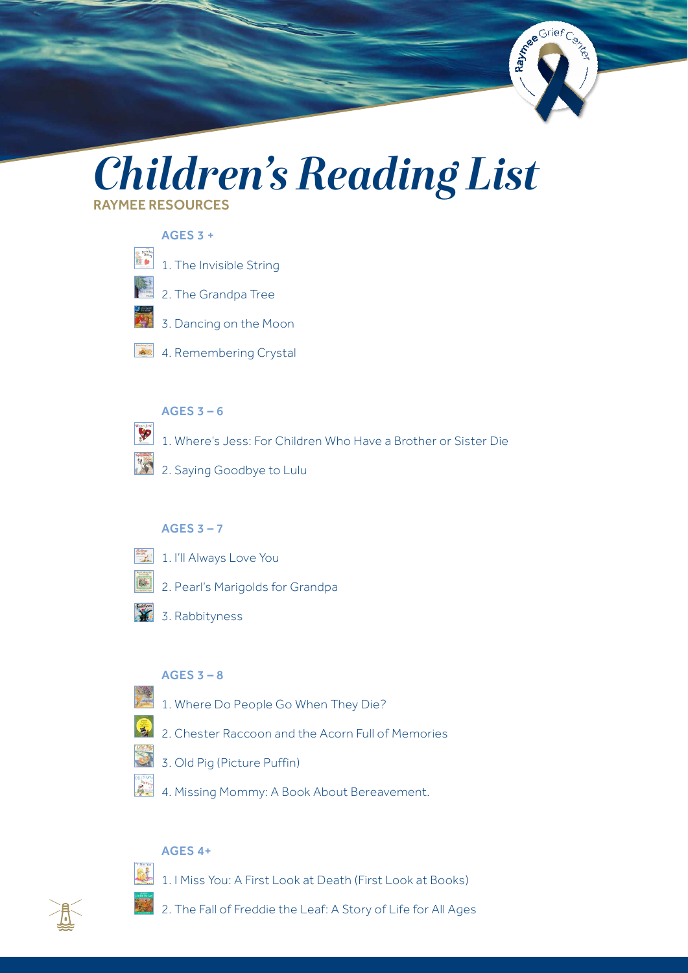

# *Children's Reading List* RAYMEE RESOURCES

## $AGES 3 +$

- ▓ [1. The Invisible String](https://www.amazon.com/gp/product/0875167349/ref=as_li_tl?ie=UTF8&&camp=1789&&creative=390957&&creativeASIN=0875167349&&linkCode=as2&&tag=whsyogr-20&&linkId=RGF63KO4QL2JB3FJ)  [2. The Grandpa Tree](https://www.amazon.com/gp/product/0911797424/ref=as_li_tl?ie=UTF8&&camp=1789&&creative=390957&&creativeASIN=0911797424&&linkCode=as2&&tag=whsyogr-20&&linkId=5VXASD2DL63Z26HX)  [3. Dancing on the Moon](https://www.amazon.com/gp/product/0964121867/ref=as_li_tl?ie=UTF8&&camp=1789&&creative=390957&&creativeASIN=0964121867&&linkCode=as2&&tag=whsyogr-20&&linkId=K6Z3AJ3VDLR6N4MQ)
- 4. Remembering Crystal

## AGES 3 – 6

P

- [1. Where's Jess: For Children Who Have a Brother or Sister Die](https://www.amazon.com/gp/product/156123009X/ref=as_li_tl?ie=UTF8&&camp=1789&&creative=390957&&creativeASIN=156123009X&&linkCode=as2&&tag=whsyogr-20&&linkId=U42XDQQGISSZZ64W)
- [2. Saying Goodbye to Lulu](https://www.amazon.com/gp/product/031604749X/ref=as_li_tl?ie=UTF8&&camp=1789&&creative=390957&&creativeASIN=031604749X&&linkCode=as2&&tag=whsyogr-20&&linkId=TOXORGKGBZ5VOCJO)

## AGES  $3 - 7$

- 1. I'll Always Love You
	- 2. Pearl's Marigolds for Grandpa
- [3. Rabbityness](https://www.amazon.com/gp/product/1846434920/ref=as_li_tl?ie=UTF8&&camp=1789&&creative=390957&&creativeASIN=1846434920&&linkCode=as2&&tag=whsyogr-20&&linkId=WZZC3THAMRNSDZIG)

## AGES  $3 - 8$

- [1. Where Do People Go When They Die?](https://www.amazon.com/gp/product/B00JOW20EE/ref=as_li_tl?ie=UTF8&camp=1789&creative=390957&creativeASIN=B00JOW20EE&linkCode=as2&tag=whsyogr-20&linkId=VNCGQ7SFPIK4SJ75)
- [2. Chester Raccoon and the Acorn Full of Memories](https://www.amazon.com/gp/product/1933718293/ref=as_li_tl?ie=UTF8&&camp=1789&&creative=390957&&creativeASIN=1933718293&&linkCode=as2&&tag=whsyogr-20&&linkId=64455WSHZPYZDF3P)
- [3. Old Pig \(Picture Puffin\)](https://www.amazon.com/gp/product/0140562117/ref=as_li_tl?ie=UTF8&&camp=1789&&creative=390957&&creativeASIN=0140562117&&linkCode=as2&&tag=whsyogr-20&&linkId=35JQTUHNL3ONUPWR)
- [4. Missing Mommy: A Book About Bereavement.](https://www.amazon.com/gp/product/0805095071/ref=as_li_tl?ie=UTF8&&camp=1789&&creative=390957&&creativeASIN=0805095071&&linkCode=as2&&tag=whsyogr-20&&linkId=MCBO6L7ZLEQFDPVT)

## AGES 4+

[1. I Miss You: A First Look at Death \(First Look at Books\)](https://www.amazon.com/gp/product/0764117645/ref=as_li_tl?ie=UTF8&&camp=1789&&creative=390957&&creativeASIN=0764117645&&linkCode=as2&&tag=whsyogr-20&&linkId=5YP3UIRAHZGX46TX) 

[2. The Fall of Freddie the Leaf: A Story of Life for All Ages](https://www.amazon.com/gp/product/0943432898/ref=as_li_tl?ie=UTF8&&camp=1789&&creative=390957&&creativeASIN=0943432898&&linkCode=as2&&tag=whsyogr-20&&linkId=GJAJK7KK4BY4XW5W)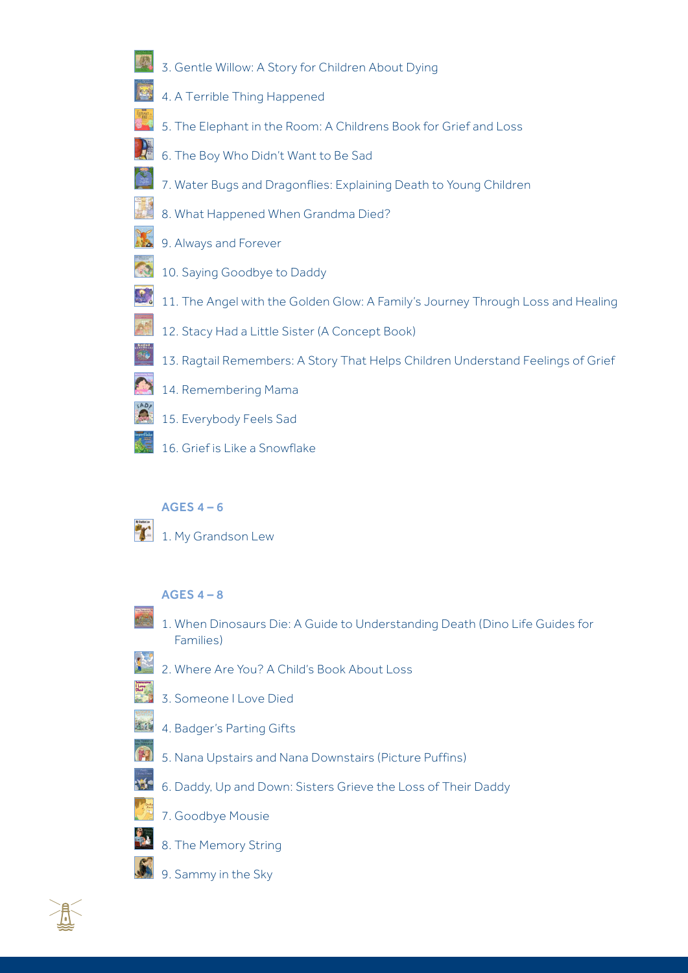- [3. Gentle Willow: A Story for Children About Dying](https://www.amazon.com/gp/product/1591470722/ref=as_li_tl?ie=UTF8&&camp=1789&&creative=390957&&creativeASIN=1591470722&&linkCode=as2&&tag=whsyogr-20&&linkId=4NQ6EKK5WELUBVHM)
- [4. A Terrible Thing Happened](https://www.amazon.com/gp/product/1557987017/ref=as_li_tl?ie=UTF8&&camp=1789&&creative=390957&&creativeASIN=1557987017&&linkCode=as2&&tag=whsyogr-20&&linkId=3L2VKXFN7VU3PBH7)
- [5. The Elephant in the Room: A Childrens Book for Grief and Loss](https://www.amazon.com/gp/product/1492793248/ref=as_li_tl?ie=UTF8&&camp=1789&&creative=390957&&creativeASIN=1492793248&&linkCode=as2&&tag=whsyogr-20&&linkId=SWMTPS5VKTO6T5HO)
- [6. The Boy Who Didn't Want to Be Sad](https://www.amazon.com/gp/product/1591471346/ref=as_li_tl?ie=UTF8&&camp=1789&&creative=390957&&creativeASIN=1591471346&&linkCode=as2&&tag=whsyogr-20&&linkId=IZVAIZNT4RY6LRXI)
- [7. Water Bugs and Dragonflies: Explaining Death to Young Children](https://www.amazon.com/gp/product/082981180X/ref=as_li_tl?ie=UTF8&&camp=1789&&creative=390957&&creativeASIN=082981180X&&linkCode=as2&&tag=whsyogr-20&&linkId=YNEWHACAJGVXPEZO)
- [8. What Happened When Grandma Died?](https://www.amazon.com/gp/product/0570040906/ref=as_li_tl?ie=UTF8&&camp=1789&&creative=390957&&creativeASIN=0570040906&&linkCode=as2&&tag=whsyogr-20&&linkId=7WNSEZLTHZJCNN4H)
- [9. Always and Forever](https://www.amazon.com/gp/product/0552567655/ref=as_li_tl?ie=UTF8&&camp=1789&&creative=390957&&creativeASIN=0552567655&&linkCode=as2&&tag=whsyogr-20&&linkId=XL7OMYEDMY72WQTZ)
- [10. Saying Goodbye to Daddy](https://www.amazon.com/gp/product/0807572535/ref=as_li_tl?ie=UTF8&&camp=1789&&creative=390957&&creativeASIN=0807572535&&linkCode=as2&&tag=whsyogr-20&&linkId=G77IAOWS4RAESA7F)
- [11. The Angel with the Golden Glow: A Family's Journey Through Loss and Healing](https://www.amazon.com/gp/product/1893356000/ref=as_li_tl?ie=UTF8&&camp=1789&&creative=390957&&creativeASIN=1893356000&&linkCode=as2&&tag=whsyogr-20&&linkId=CSAGNYSG7KAJZYEE)
- [12. Stacy Had a Little Sister \(A Concept Book\)](https://www.amazon.com/gp/product/0807575984/ref=as_li_tl?ie=UTF8&&camp=1789&&creative=390957&&creativeASIN=0807575984&&linkCode=as2&&tag=whsyogr-20&&linkId=LHOUCEPRN6XGTJ5L)
- [13. Ragtail Remembers: A Story That Helps Children Understand Feelings of Grief](https://www.amazon.com/gp/product/1561231630/ref=as_li_tl?ie=UTF8&&camp=1789&&creative=390957&&creativeASIN=1561231630&&linkCode=as2&&tag=whsyogr-20&&linkId=7GFVHPJPDEGWFPMX)
- [14. Remembering Mama](https://www.amazon.com/gp/product/0806643528/ref=as_li_tl?ie=UTF8&&camp=1789&&creative=390957&&creativeASIN=0806643528&&linkCode=as2&&tag=whsyogr-20&&linkId=HX2OZSDE3GLSHUQH)
- [15. Everybody Feels Sad](https://www.amazon.com/gp/product/0778740668/ref=as_li_tl?ie=UTF8&&camp=1789&&creative=390957&&creativeASIN=0778740668&&linkCode=as2&&tag=whsyogr-20&&linkId=CHEJE6FQIAAR2EB2)
- [16. Grief is Like a Snowflake](https://www.amazon.com/gp/product/1931636788/ref=as_li_tl?ie=UTF8&&camp=1789&&creative=390957&&creativeASIN=1931636788&&linkCode=as2&&tag=whsyogr-20&&linkId=ORE2YX2L3XM4D3KK)

## AGES  $4 - 6$

[1. My Grandson Lew](https://www.amazon.com/gp/product/0060269618/ref=as_li_tl?ie=UTF8&&camp=1789&&creative=390957&&creativeASIN=0060269618&&linkCode=as2&&tag=whsyogr-20&&linkId=AF73ZJLH2MGKH32Q)

## $AGFSA - 8$

- [1. When Dinosaurs Die: A Guide to Understanding Death \(Dino Life Guides for](https://www.amazon.com/gp/product/0316119555/ref=as_li_tl?ie=UTF8&&camp=1789&&creative=390957&&creativeASIN=0316119555&&linkCode=as2&&tag=whsyogr-20&&linkId=2S6Q5RQ3QNK3Y5VU)  [Families\)](https://www.amazon.com/gp/product/0316119555/ref=as_li_tl?ie=UTF8&&camp=1789&&creative=390957&&creativeASIN=0316119555&&linkCode=as2&&tag=whsyogr-20&&linkId=2S6Q5RQ3QNK3Y5VU)
- [2. Where Are You? A Child's Book About Loss](https://www.amazon.com/gp/product/1435700910/ref=as_li_tl?ie=UTF8&&camp=1789&&creative=390957&&creativeASIN=1435700910&&linkCode=as2&&tag=whsyogr-20&&linkId=XGNTTKU6GW45ZRQ7)
- 3. Someone I Love Died
- 590 [4. Badger's Parting Gifts](https://www.amazon.com/gp/product/0688115187/ref=as_li_tl?ie=UTF8&&camp=1789&&creative=390957&&creativeASIN=0688115187&&linkCode=as2&&tag=whsyogr-20&&linkId=ZDO2SQCCL4TCYQ5C) 
	- [5. Nana Upstairs and Nana Downstairs \(Picture Puffins\)](https://www.amazon.com/gp/product/0698118367/ref=as_li_tl?ie=UTF8&&camp=1789&&creative=390957&&creativeASIN=0698118367&&linkCode=as2&&tag=whsyogr-20&&linkId=4L34LHL7NHSJPRG7)
	- [6. Daddy, Up and Down: Sisters Grieve the Loss of Their Daddy](https://www.amazon.com/gp/product/0965806111/ref=as_li_tl?ie=UTF8&&camp=1789&&creative=390957&&creativeASIN=0965806111&&linkCode=as2&&tag=whsyogr-20&&linkId=2JMXZ2PK2FAZFRJU)
	- [7. Goodbye Mousie](https://www.amazon.com/gp/product/0689871341/ref=as_li_tl?ie=UTF8&&camp=1789&&creative=390957&&creativeASIN=0689871341&&linkCode=as2&&tag=whsyogr-20&&linkId=F5U46UDK45J4RIGO)
	- [8. The Memory String](https://www.amazon.com/gp/product/0395861462/ref=as_li_tl?ie=UTF8&&camp=1789&&creative=390957&&creativeASIN=0395861462&&linkCode=as2&&tag=whsyogr-20&&linkId=UXVI327DHXKENOIJ)
	- [9. Sammy in the Sky](https://www.amazon.com/gp/product/0763649279/ref=as_li_tl?ie=UTF8&&camp=1789&&creative=390957&&creativeASIN=0763649279&&linkCode=as2&&tag=whsyogr-20&&linkId=E6P5XZXJ6LKU2FEE)

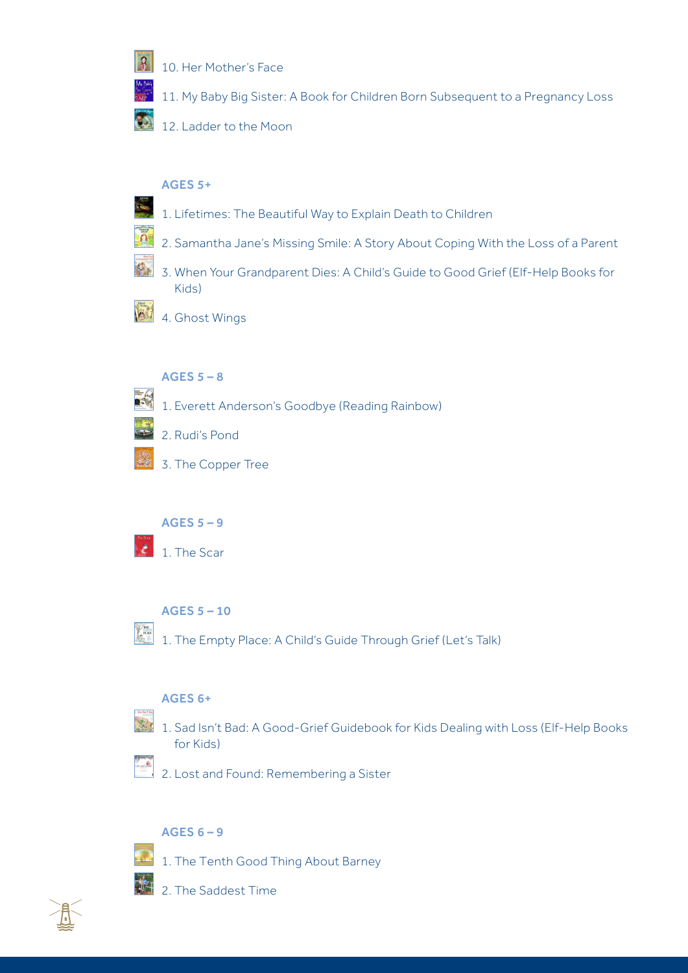

[10. Her Mother's Face](https://www.amazon.com/gp/product/B005M4UDU6/ref=as_li_tl?ie=UTF8&&camp=1789&&creative=390957&&creativeASIN=B005M4UDU6&&linkCode=as2&&tag=whsyogr-20&&linkId=IXCIQA3AWMFI2QUM) 

[11. My Baby Big Sister: A Book for Children Born Subsequent to a Pregnancy Loss](https://www.amazon.com/gp/product/1451579764/ref=as_li_tl?ie=UTF8&&camp=1789&&creative=390957&&creativeASIN=1451579764&&linkCode=as2&&tag=whsyogr-20&&linkId=PLC5D7ERP6TOGJ6X) 

[12. Ladder to the Moon](https://www.amazon.com/gp/product/0763645702/ref=as_li_tl?ie=UTF8&&camp=1789&&creative=390957&&creativeASIN=0763645702&&linkCode=as2&&tag=whsyogr-20&&linkId=7764SDDFDNNABA7Z)

## AGES 5+

 $\overline{\Omega}$ 

- [1. Lifetimes: The Beautiful Way to Explain Death to Children](https://www.amazon.com/gp/product/0553344021/ref=as_li_tl?ie=UTF8&&camp=1789&&creative=390957&&creativeASIN=0553344021&&linkCode=as2&&tag=whsyogr-20&&linkId=QAODG47TJ6DJSRT6)
- [2. Samantha Jane's Missing Smile: A Story About Coping With the Loss of a Parent](https://www.amazon.com/gp/product/159147809X/ref=as_li_tl?ie=UTF8&&camp=1789&&creative=390957&&creativeASIN=159147809X&&linkCode=as2&&tag=whsyogr-20&&linkId=MWJQ4DIBYIGMQ6DQ)
- [3. When Your Grandparent Dies: A Child's Guide to Good Grief \(Elf-Help Books for](https://www.amazon.com/gp/product/0870293648/ref=as_li_tl?ie=UTF8&&camp=1789&&creative=390957&&creativeASIN=0870293648&&linkCode=as2&&tag=whsyogr-20&&linkId=GEOQCWM4FZ4GQHJA)  [Kids\)](https://www.amazon.com/gp/product/0870293648/ref=as_li_tl?ie=UTF8&&camp=1789&&creative=390957&&creativeASIN=0870293648&&linkCode=as2&&tag=whsyogr-20&&linkId=GEOQCWM4FZ4GQHJA)
- [4. Ghost Wings](https://www.amazon.com/gp/product/0811821641/ref=as_li_tl?ie=UTF8&&camp=1789&&creative=390957&&creativeASIN=0811821641&&linkCode=as2&&tag=whsyogr-20&&linkId=F7UWM6LHLW4LEMQZ)

## AGES  $5 - 8$

- [1. Everett Anderson's Goodbye \(Reading Rainbow\)](https://www.amazon.com/gp/product/0805008004/ref=as_li_tl?ie=UTF8&&camp=1789&&creative=390957&&creativeASIN=0805008004&&linkCode=as2&&tag=whsyogr-20&&linkId=SDQKPCVYZG5IZYPY)
- [2. Rudi's Pond](https://www.amazon.com/gp/product/0618486046/ref=as_li_tl?ie=UTF8&&camp=1789&&creative=390957&&creativeASIN=0618486046&&linkCode=as2&&tag=whsyogr-20&&linkId=RVG5SUP4K356HML7)
- [3. The Copper Tree](https://www.amazon.com/gp/product/0957124503/ref=as_li_tl?ie=UTF8&&camp=1789&&creative=390957&&creativeASIN=0957124503&&linkCode=as2&&tag=whsyogr-20&&linkId=B5BZHOE72DMFLZ6O)

## AGES 5 – 9

[1. The Scar](https://www.amazon.com/gp/product/0763653411/ref=as_li_tl?ie=UTF8&&camp=1789&&creative=390957&&creativeASIN=0763653411&&linkCode=as2&&tag=whsyogr-20&&linkId=DWNMM23LT3MK7PIE)

## AGES 5 – 10

PLACE [1. The Empty Place: A Child's Guide Through Grief \(Let's Talk\)](https://www.amazon.com/gp/product/0882821180/ref=as_li_tl?ie=UTF8&&camp=1789&&creative=390957&&creativeASIN=0882821180&&linkCode=as2&&tag=whsyogr-20&&linkId=LOZ4VTK7RJODS26B) 

## AGES 6+

- $\alpha$ 
	- [1. Sad Isn't Bad: A Good-Grief Guidebook for Kids Dealing with Loss \(Elf-Help Books](https://www.amazon.com/gp/product/0870293214/ref=as_li_tl?ie=UTF8&&camp=1789&&creative=390957&&creativeASIN=0870293214&&linkCode=as2&&tag=whsyogr-20&&linkId=AYWMWTHPRN4O6MJP)  [for Kids\)](https://www.amazon.com/gp/product/0870293214/ref=as_li_tl?ie=UTF8&&camp=1789&&creative=390957&&creativeASIN=0870293214&&linkCode=as2&&tag=whsyogr-20&&linkId=AYWMWTHPRN4O6MJP)
	- [2. Lost and Found: Remembering a Sister](https://www.amazon.com/gp/product/1561231290/ref=as_li_tl?ie=UTF8&&camp=1789&&creative=390957&&creativeASIN=1561231290&&linkCode=as2&&tag=whsyogr-20&&linkId=MWFDJ2YC464KSFAR)

## AGES  $6 - 9$

- [1. The Tenth Good Thing About Barney](https://www.amazon.com/gp/product/0689712030/ref=as_li_tl?ie=UTF8&&camp=1789&&creative=390957&&creativeASIN=0689712030&&linkCode=as2&&tag=whsyogr-20&&linkId=G6NXE6GYQ6VJ4NOD)
- [2. The Saddest Time](https://www.amazon.com/gp/product/0807572047/ref=as_li_tl?ie=UTF8&&camp=1789&&creative=390957&&creativeASIN=0807572047&&linkCode=as2&&tag=whsyogr-20&&linkId=ADWPD2WY5WCJ6IBA)